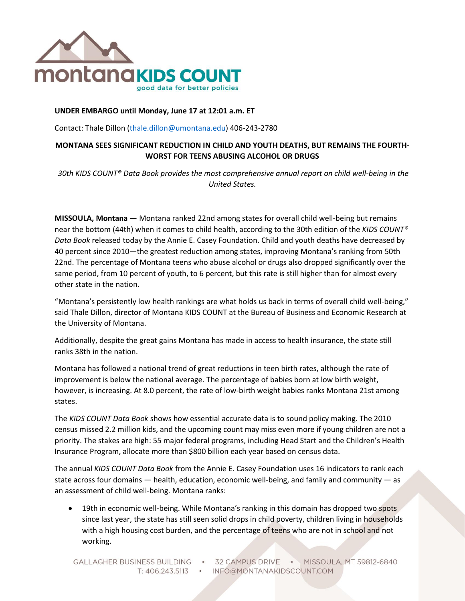

### **UNDER EMBARGO until Monday, June 17 at 12:01 a.m. ET**

Contact: Thale Dillon [\(thale.dillon@umontana.edu\)](mailto:thale.dillon@umontana.edu) 406-243-2780

# **MONTANA SEES SIGNIFICANT REDUCTION IN CHILD AND YOUTH DEATHS, BUT REMAINS THE FOURTH-WORST FOR TEENS ABUSING ALCOHOL OR DRUGS**

*30th KIDS COUNT® Data Book provides the most comprehensive annual report on child well-being in the United States.*

**MISSOULA, Montana** — Montana ranked 22nd among states for overall child well-being but remains near the bottom (44th) when it comes to child health, according to the 30th edition of the *KIDS COUNT® Data Book* released today by the Annie E. Casey Foundation. Child and youth deaths have decreased by 40 percent since 2010—the greatest reduction among states, improving Montana's ranking from 50th 22nd. The percentage of Montana teens who abuse alcohol or drugs also dropped significantly over the same period, from 10 percent of youth, to 6 percent, but this rate is still higher than for almost every other state in the nation.

"Montana's persistently low health rankings are what holds us back in terms of overall child well-being," said Thale Dillon, director of Montana KIDS COUNT at the Bureau of Business and Economic Research at the University of Montana.

Additionally, despite the great gains Montana has made in access to health insurance, the state still ranks 38th in the nation.

Montana has followed a national trend of great reductions in teen birth rates, although the rate of improvement is below the national average. The percentage of babies born at low birth weight, however, is increasing. At 8.0 percent, the rate of low-birth weight babies ranks Montana 21st among states.

The *KIDS COUNT Data Book* shows how essential accurate data is to sound policy making. The 2010 census missed 2.2 million kids, and the upcoming count may miss even more if young children are not a priority. The stakes are high: 55 major federal programs, including Head Start and the Children's Health Insurance Program, allocate more than \$800 billion each year based on census data.

The annual *KIDS COUNT Data Book* from the Annie E. Casey Foundation uses 16 indicators to rank each state across four domains — health, education, economic well-being, and family and community — as an assessment of child well-being. Montana ranks:

• 19th in economic well-being. While Montana's ranking in this domain has dropped two spots since last year, the state has still seen solid drops in child poverty, children living in households with a high housing cost burden, and the percentage of teens who are not in school and not working.

GALLAGHER BUSINESS BUILDING . 32 CAMPUS DRIVE . MISSOULA, MT 59812-6840 T: 406.243.5113 · INFO@MONTANAKIDSCOUNT.COM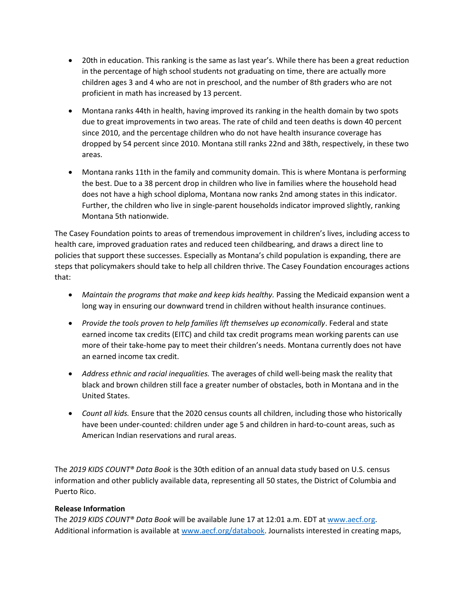- 20th in education. This ranking is the same as last year's. While there has been a great reduction in the percentage of high school students not graduating on time, there are actually more children ages 3 and 4 who are not in preschool, and the number of 8th graders who are not proficient in math has increased by 13 percent.
- Montana ranks 44th in health, having improved its ranking in the health domain by two spots due to great improvements in two areas. The rate of child and teen deaths is down 40 percent since 2010, and the percentage children who do not have health insurance coverage has dropped by 54 percent since 2010. Montana still ranks 22nd and 38th, respectively, in these two areas.
- Montana ranks 11th in the family and community domain. This is where Montana is performing the best. Due to a 38 percent drop in children who live in families where the household head does not have a high school diploma, Montana now ranks 2nd among states in this indicator. Further, the children who live in single-parent households indicator improved slightly, ranking Montana 5th nationwide.

The Casey Foundation points to areas of tremendous improvement in children's lives, including access to health care, improved graduation rates and reduced teen childbearing, and draws a direct line to policies that support these successes. Especially as Montana's child population is expanding, there are steps that policymakers should take to help all children thrive. The Casey Foundation encourages actions that:

- *Maintain the programs that make and keep kids healthy.* Passing the Medicaid expansion went a long way in ensuring our downward trend in children without health insurance continues.
- *Provide the tools proven to help families lift themselves up economically*. Federal and state earned income tax credits (EITC) and child tax credit programs mean working parents can use more of their take-home pay to meet their children's needs. Montana currently does not have an earned income tax credit.
- *Address ethnic and racial inequalities.* The averages of child well-being mask the reality that black and brown children still face a greater number of obstacles, both in Montana and in the United States.
- *Count all kids.* Ensure that the 2020 census counts all children, including those who historically have been under-counted: children under age 5 and children in hard-to-count areas, such as American Indian reservations and rural areas.

The *2019 KIDS COUNT® Data Book* is the 30th edition of an annual data study based on U.S. census information and other publicly available data, representing all 50 states, the District of Columbia and Puerto Rico.

## **Release Information**

The *2019 KIDS COUNT® Data Book* will be available June 17 at 12:01 a.m. EDT at [www.aecf.org.](http://www.aecf.org/) Additional information is available at [www.aecf.org/databook.](http://www.aecf.org/databook) Journalists interested in creating maps,